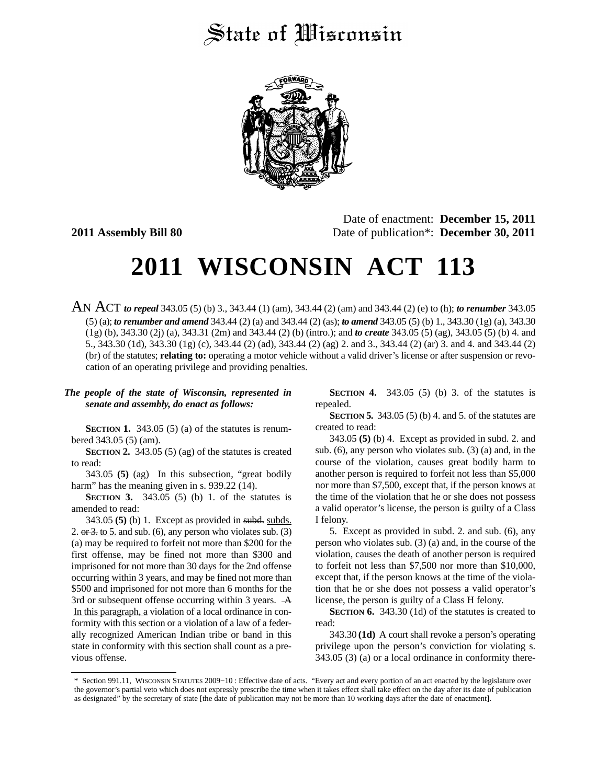## State of Wisconsin



Date of enactment: **December 15, 2011 2011 Assembly Bill 80** Date of publication\*: **December 30, 2011**

# **2011 WISCONSIN ACT 113**

AN ACT *to repeal* 343.05 (5) (b) 3., 343.44 (1) (am), 343.44 (2) (am) and 343.44 (2) (e) to (h); *to renumber* 343.05 (5) (a); *to renumber and amend* 343.44 (2) (a) and 343.44 (2) (as); *to amend* 343.05 (5) (b) 1., 343.30 (1g) (a), 343.30 (1g) (b), 343.30 (2j) (a), 343.31 (2m) and 343.44 (2) (b) (intro.); and *to create* 343.05 (5) (ag), 343.05 (5) (b) 4. and 5., 343.30 (1d), 343.30 (1g) (c), 343.44 (2) (ad), 343.44 (2) (ag) 2. and 3., 343.44 (2) (ar) 3. and 4. and 343.44 (2) (br) of the statutes; **relating to:** operating a motor vehicle without a valid driver's license or after suspension or revocation of an operating privilege and providing penalties.

#### *The people of the state of Wisconsin, represented in senate and assembly, do enact as follows:*

**SECTION 1.** 343.05 (5) (a) of the statutes is renumbered 343.05 (5) (am).

**SECTION 2.** 343.05 (5) (ag) of the statutes is created to read:

343.05 **(5)** (ag) In this subsection, "great bodily harm" has the meaning given in s. 939.22 (14).

**SECTION 3.** 343.05 (5) (b) 1. of the statutes is amended to read:

343.05 **(5)** (b) 1. Except as provided in subd. subds. 2. or  $3.$  to  $5.$  and sub. (6), any person who violates sub. (3) (a) may be required to forfeit not more than \$200 for the first offense, may be fined not more than \$300 and imprisoned for not more than 30 days for the 2nd offense occurring within 3 years, and may be fined not more than \$500 and imprisoned for not more than 6 months for the 3rd or subsequent offense occurring within 3 years. A In this paragraph, a violation of a local ordinance in conformity with this section or a violation of a law of a federally recognized American Indian tribe or band in this state in conformity with this section shall count as a previous offense.

**SECTION 4.** 343.05 (5) (b) 3. of the statutes is repealed.

**SECTION 5.** 343.05 (5) (b) 4. and 5. of the statutes are created to read:

343.05 **(5)** (b) 4. Except as provided in subd. 2. and sub. (6), any person who violates sub. (3) (a) and, in the course of the violation, causes great bodily harm to another person is required to forfeit not less than \$5,000 nor more than \$7,500, except that, if the person knows at the time of the violation that he or she does not possess a valid operator's license, the person is guilty of a Class I felony.

5. Except as provided in subd. 2. and sub. (6), any person who violates sub. (3) (a) and, in the course of the violation, causes the death of another person is required to forfeit not less than \$7,500 nor more than \$10,000, except that, if the person knows at the time of the violation that he or she does not possess a valid operator's license, the person is guilty of a Class H felony.

**SECTION 6.** 343.30 (1d) of the statutes is created to read:

343.30 **(1d)** A court shall revoke a person's operating privilege upon the person's conviction for violating s. 343.05 (3) (a) or a local ordinance in conformity there-

<sup>\*</sup> Section 991.11, WISCONSIN STATUTES 2009−10 : Effective date of acts. "Every act and every portion of an act enacted by the legislature over the governor's partial veto which does not expressly prescribe the time when it takes effect shall take effect on the day after its date of publication as designated" by the secretary of state [the date of publication may not be more than 10 working days after the date of enactment].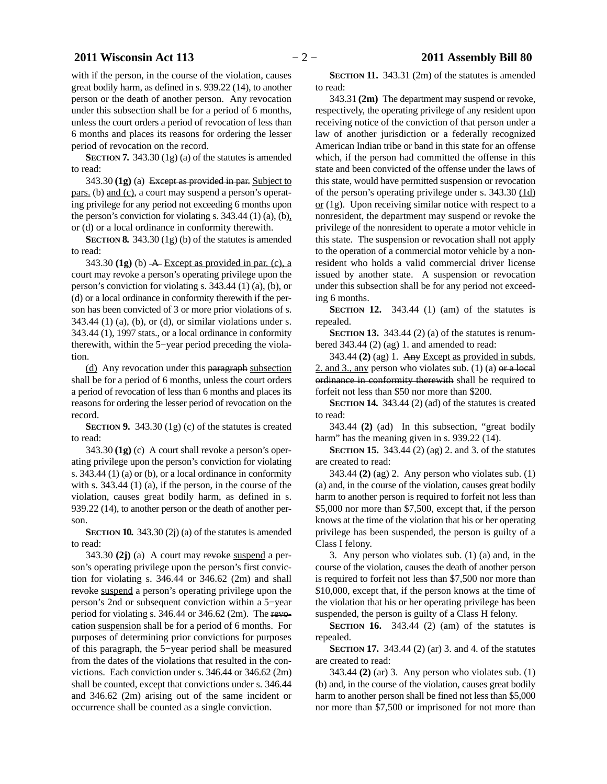### **2011 Wisconsin Act 113** − 2 − **2011 Assembly Bill 80**

with if the person, in the course of the violation, causes great bodily harm, as defined in s. 939.22 (14), to another person or the death of another person. Any revocation under this subsection shall be for a period of 6 months, unless the court orders a period of revocation of less than 6 months and places its reasons for ordering the lesser period of revocation on the record.

**SECTION 7.** 343.30 (1g) (a) of the statutes is amended to read:

343.30 **(1g)** (a) Except as provided in par. Subject to pars. (b) and (c), a court may suspend a person's operating privilege for any period not exceeding 6 months upon the person's conviction for violating s.  $343.44$  (1) (a), (b), or (d) or a local ordinance in conformity therewith.

**SECTION 8.** 343.30 (1g) (b) of the statutes is amended to read:

 $343.30$  (1g) (b)  $\overline{A}$  Except as provided in par. (c), a court may revoke a person's operating privilege upon the person's conviction for violating s. 343.44 (1) (a), (b), or (d) or a local ordinance in conformity therewith if the person has been convicted of 3 or more prior violations of s.  $343.44$  (1) (a), (b), or (d), or similar violations under s. 343.44 (1), 1997 stats., or a local ordinance in conformity therewith, within the 5−year period preceding the violation.

(d) Any revocation under this paragraph subsection shall be for a period of 6 months, unless the court orders a period of revocation of less than 6 months and places its reasons for ordering the lesser period of revocation on the record.

**SECTION 9.** 343.30 (1g) (c) of the statutes is created to read:

343.30 **(1g)** (c) A court shall revoke a person's operating privilege upon the person's conviction for violating s. 343.44 (1) (a) or (b), or a local ordinance in conformity with s. 343.44 (1) (a), if the person, in the course of the violation, causes great bodily harm, as defined in s. 939.22 (14), to another person or the death of another person.

**SECTION 10.** 343.30 (2j) (a) of the statutes is amended to read:

343.30 **(2j)** (a) A court may revoke suspend a person's operating privilege upon the person's first conviction for violating s. 346.44 or 346.62 (2m) and shall revoke suspend a person's operating privilege upon the person's 2nd or subsequent conviction within a 5−year period for violating s. 346.44 or 346.62 (2m). The revocation suspension shall be for a period of 6 months. For purposes of determining prior convictions for purposes of this paragraph, the 5−year period shall be measured from the dates of the violations that resulted in the convictions. Each conviction under s. 346.44 or 346.62 (2m) shall be counted, except that convictions under s. 346.44 and 346.62 (2m) arising out of the same incident or occurrence shall be counted as a single conviction.

**SECTION 11.** 343.31 (2m) of the statutes is amended to read:

343.31 **(2m)** The department may suspend or revoke, respectively, the operating privilege of any resident upon receiving notice of the conviction of that person under a law of another jurisdiction or a federally recognized American Indian tribe or band in this state for an offense which, if the person had committed the offense in this state and been convicted of the offense under the laws of this state, would have permitted suspension or revocation of the person's operating privilege under s. 343.30 (1d)  $or$  (1g). Upon receiving similar notice with respect to a nonresident, the department may suspend or revoke the privilege of the nonresident to operate a motor vehicle in this state. The suspension or revocation shall not apply to the operation of a commercial motor vehicle by a nonresident who holds a valid commercial driver license issued by another state. A suspension or revocation under this subsection shall be for any period not exceeding 6 months.

**SECTION** 12. 343.44 (1) (am) of the statutes is repealed.

**SECTION 13.** 343.44 (2) (a) of the statutes is renumbered  $343.44$  (2) (ag) 1. and amended to read:

343.44 **(2)** (ag) 1. Any Except as provided in subds. 2. and 3., any person who violates sub.  $(1)$  (a) or a local ordinance in conformity therewith shall be required to forfeit not less than \$50 nor more than \$200.

**SECTION 14.** 343.44 (2) (ad) of the statutes is created to read:

343.44 **(2)** (ad) In this subsection, "great bodily harm" has the meaning given in s. 939.22 (14).

**SECTION 15.** 343.44 (2) (ag) 2. and 3. of the statutes are created to read:

343.44 **(2)** (ag) 2. Any person who violates sub. (1) (a) and, in the course of the violation, causes great bodily harm to another person is required to forfeit not less than \$5,000 nor more than \$7,500, except that, if the person knows at the time of the violation that his or her operating privilege has been suspended, the person is guilty of a Class I felony.

3. Any person who violates sub. (1) (a) and, in the course of the violation, causes the death of another person is required to forfeit not less than \$7,500 nor more than \$10,000, except that, if the person knows at the time of the violation that his or her operating privilege has been suspended, the person is guilty of a Class H felony.

**SECTION 16.** 343.44 (2) (am) of the statutes is repealed.

**SECTION 17.** 343.44 (2) (ar) 3. and 4. of the statutes are created to read:

343.44 **(2)** (ar) 3. Any person who violates sub. (1) (b) and, in the course of the violation, causes great bodily harm to another person shall be fined not less than \$5,000 nor more than \$7,500 or imprisoned for not more than